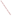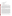#### April 6, 2004

# **To:** RCRA Division Directors (Regions I-X) Superfund Division Directors (Regions I-X) OSWER Office Director **From:** Robert Springer, Director /s/ Office of Solid Waste

**Subject:** Recommended Interim Practices for Disposal of Potentially Contaminated Chronic Wasting Disease Carcasses and Wastes

We recognize that several States and Regions have had to deal with the disposal of potentially contaminated chronic wasting disease (CWD) carcasses and wastes and that there are several options available for the disposal of these materials, one being disposal in a municipal solid waste landfill. The purpose of this memorandum is to provide States and municipal solid waste landfill facility managers with interim practices for consideration when a determination is made that the wastes are to be disposed of in a municipal solid waste landfill. As a prudent measure, we believe it is appropriate and reasonable for EPA to encourage that the land disposal of this material take place in a manner that minimizes any possibility of releases. I am providing these interim practices now recognizing that many of you must deal with these issues today. However, we will continue to work with you and the States to refine and revise these interim practices.

Several states (CO, KS, MT, MN, NE, NM, OK, SD, UT, WI, WY) and EPA Regions (5, 6, 7, 8) have dealt with the disposal of elk and deer contaminated with CWD. Some States have used hightemperature incineration or alkaline hydrolysis tissue digestion to dispose of contaminated carcasses and other contaminated wastes as these methods are thought to destroy prions, the disease-causing agent. Other States with large numbers of carcasses and heads that need to be handled and a lack of available disposal options (such as alkaline digestion and high-temperature incineration) have used municipal solid waste landfills to dispose of potentially contaminated CWD waste derived from deer or elk herds in areas where CWD is known to occur. Since CWD is transmitted horizontally among deer and elk, it is thought that containing the infectious agent in municipal solid waste landfills would help reduce the spread of the disease. While disposal of potentially contaminated carcasses in municipal solid waste landfills may not be our preferred option, we recognize that exigencies of a particular situation may show this to be the most reasonable option. However, we believe it is prudent to manage the material in a manner that minimizes the potential for releases to the environment. Therefore, the Office of Solid Waste, with input from EPA's Regional Offices, Office of Research and Development and ten States, has developed the attached interim practices that a State or landfill facility manager may consider when disposing of these contaminated wastes in municipal solid waste landfills.

These interim practices capture issues such as: segregation of carcasses, management of leachate,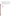daily cover considerations, and compliance with Part 258. Note that these interim practices do not apply to waste materials that do not contain CWD. The interim practices provide recommendations and do not impose any legally binding requirements nor do they change or substitute for any State, federal, or local statutory or regulatory provision.

Should you have any questions on these interim practices, please contact Thea McManus, Acting Director of the Municipal and Industrial Solid Waste Division at (703) 308-8738, or have your staff contact Paul Cassidy at (703) 308-7281 or Dave Bartenfelder at (703) 308-8629. Thank you for your assistance in promoting the prudent management of these materials.

#### Attachment

cc: Robbie Roberts

Tom Dunne Matt Straus Judy Nelson Elaine Brenner (OW) Tom Kennedy (ASTSWMO) Bethany Grohs (ERT)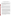### **Recommended Interim Practices for Disposal of Potentially Contaminated Chronic Wasting Disease Carcasses and Wastes**

(1) The municipal solid waste landfill should be 40 CFR Part 258 compliant and have no uncontrolled release from the receiving landfill disposal cell. A composite liner system and leachate collection system is preferable as it will allow for potential future leachate monitoring for prions when appropriate tests are developed. Leachate should be recirculated, where practical, within the animal carcass/contaminated waste disposal cell to remove potential issues associated with discharges to POTWs/Wastewater Treatment Facilities (WWTFs).

(2) A 20-foot base of municipal solid waste should be overlain by 12 inches of absorbent material. The absorbent material should be placed immediately prior to the disposal of the animal carcasses or other contaminated wastes.

(3) Carcasses should be splayed and placed on top of the absorbent material, not to exceed a two carcass-layer thickness. After placement of the carcasses or other contaminated wastes, lime, cement kiln dust, or other similar pH caustic should be added to fill the voids and to minimize fermentation. Immediately following placement of a carcass layer(s)/contaminated wastes, a minimum of 3 feet of municipal solid waste should be applied. At the end of the operating day, a minimum of 12 inches of earthen material should be applied for vector control. No alternative daily cover materials should be allowed.

(3a) As an alternative to (3), carcasses might be splayed and placed in a macro-vault. The macrovault sequencing should begin close to the final waste elevation to minimize failures due to waste overburden forces. A macro-vault may be created by placement of a geomembrane material in a roll-off box. The geomembrane covers the bottom and sides of the roll-off box. Carcasses or other contaminated wastes are placed within the box. Lime, cement kiln dust, or other similar pH caustic material should be added to the box to fill the voids and to minimize fermentation. The top of the roll-off box should be sealed, to prevent releases, by placement of a geomembrane cover material over the box. The macro-vault is then placed in the municipal solid waste landfill. At the end of the operating day, daily cover or alternative daily cover should be applied. Multiple macrovault layers (where used) should be aligned perpendicular to the underlying layer and the number of layers should be based on the supportive strength of the macro-vault.

(3b) As an alternative to (3) or (3a), carcasses might be splayed and disposed of in a geomembrane-lined trench within the municipal solid waste landfill. These carcasses and other contaminated wastes should be placed in the trench not to exceed a two carcass-layer thickness. After placement of the carcasses or other contaminated wastes, lime, cement kiln dust, or other similar pH caustic material should be added to fill the voids and to minimize fermentation. After filling the voids, the sides of the geomembrane should be overlapped a minimum of three feet to create a secure trench. After sealing the geomembrane or at the end of the operating day, daily cover or alternative daily cover should be applied.